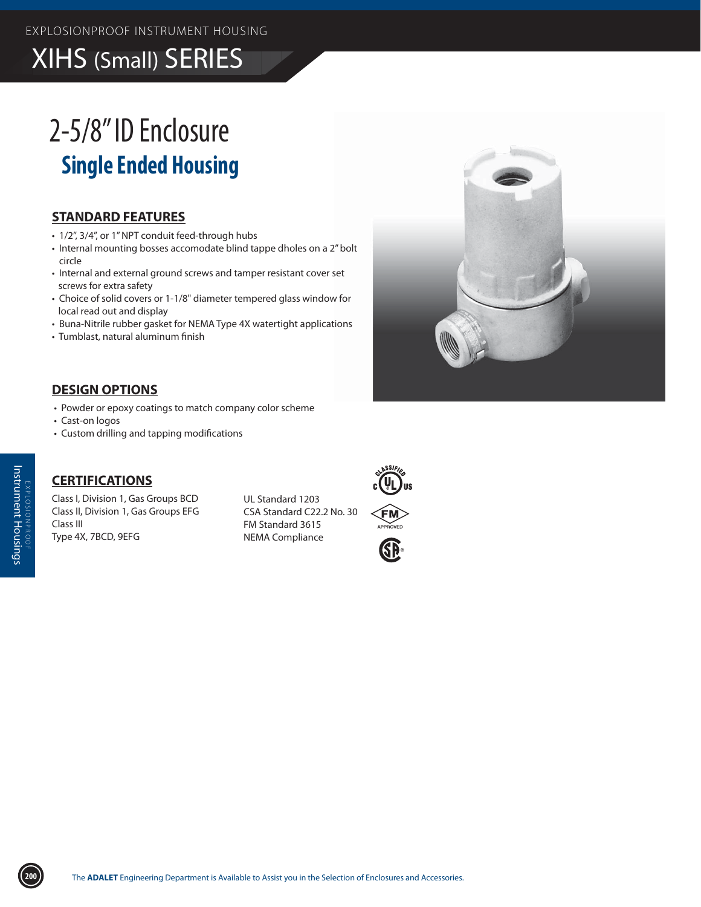## **XIHS (Small) SERIES**

# 2-5/8"ID Enclosure **Single Ended Housing**

#### **STANDARD FEATURES**

- 1/2", 3/4", or 1" NPT conduit feed-through hubs
- Internal mounting bosses accomodate blind tappe dholes on a 2" bolt circle
- Internal and external ground screws and tamper resistant cover set screws for extra safety
- Choice of solid covers or 1-1/8" diameter tempered glass window for local read out and display
- Buna-Nitrile rubber gasket for NEMA Type 4X watertight applications
- · Tumblast, natural aluminum finish

#### **DESIGN OPTIONS**

- Powder or epoxy coatings to match company color scheme
- Cast-on logos
- Custom drilling and tapping modifications

### **CERTIFICATIONS**

Class I, Division 1, Gas Groups BCD Class II, Division 1, Gas Groups EFG Class III Type 4X, 7BCD, 9EFG

UL Standard 1203 CSA Standard C22.2 No. 30 FM Standard 3615 **NEMA Compliance**